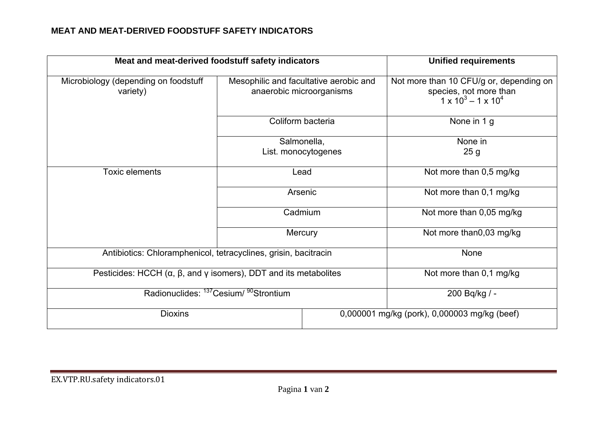## **MEAT AND MEAT-DERIVED FOODSTUFF SAFETY INDICATORS**

| Meat and meat-derived foodstuff safety indicators                                                 |         |                                                                    | <b>Unified requirements</b>                                                                          |
|---------------------------------------------------------------------------------------------------|---------|--------------------------------------------------------------------|------------------------------------------------------------------------------------------------------|
| Microbiology (depending on foodstuff<br>variety)                                                  |         | Mesophilic and facultative aerobic and<br>anaerobic microorganisms | Not more than 10 CFU/g or, depending on<br>species, not more than<br>$1 \times 10^3 - 1 \times 10^4$ |
|                                                                                                   |         | Coliform bacteria                                                  | None in 1 g                                                                                          |
|                                                                                                   |         | Salmonella,                                                        | None in                                                                                              |
|                                                                                                   |         | List. monocytogenes                                                | 25 <sub>g</sub>                                                                                      |
| <b>Toxic elements</b>                                                                             | Lead    |                                                                    | Not more than 0,5 mg/kg                                                                              |
|                                                                                                   | Arsenic |                                                                    | Not more than 0,1 mg/kg                                                                              |
|                                                                                                   |         | Cadmium                                                            | Not more than 0,05 mg/kg                                                                             |
|                                                                                                   | Mercury |                                                                    | Not more than0,03 mg/kg                                                                              |
| Antibiotics: Chloramphenicol, tetracyclines, grisin, bacitracin                                   |         | None                                                               |                                                                                                      |
| Pesticides: HCCH $(\alpha, \beta, \text{ and } \gamma \text{ isomers})$ , DDT and its metabolites |         | Not more than 0,1 mg/kg                                            |                                                                                                      |
| Radionuclides: <sup>137</sup> Cesium/ <sup>90</sup> Strontium                                     |         | 200 Bq/kg / -                                                      |                                                                                                      |
| <b>Dioxins</b>                                                                                    |         | 0,000001 mg/kg (pork), 0,000003 mg/kg (beef)                       |                                                                                                      |